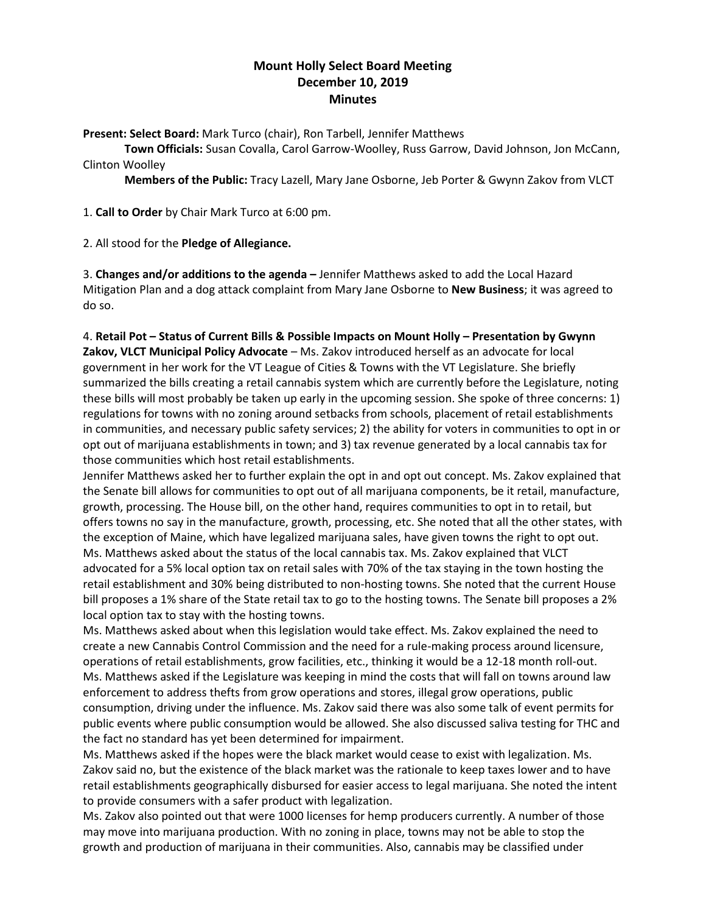# **Mount Holly Select Board Meeting December 10, 2019 Minutes**

**Present: Select Board:** Mark Turco (chair), Ron Tarbell, Jennifer Matthews

**Town Officials:** Susan Covalla, Carol Garrow-Woolley, Russ Garrow, David Johnson, Jon McCann, Clinton Woolley

**Members of the Public:** Tracy Lazell, Mary Jane Osborne, Jeb Porter & Gwynn Zakov from VLCT

1. **Call to Order** by Chair Mark Turco at 6:00 pm.

2. All stood for the **Pledge of Allegiance.**

3. **Changes and/or additions to the agenda –** Jennifer Matthews asked to add the Local Hazard Mitigation Plan and a dog attack complaint from Mary Jane Osborne to **New Business**; it was agreed to do so.

4. **Retail Pot – Status of Current Bills & Possible Impacts on Mount Holly – Presentation by Gwynn Zakov, VLCT Municipal Policy Advocate** – Ms. Zakov introduced herself as an advocate for local government in her work for the VT League of Cities & Towns with the VT Legislature. She briefly summarized the bills creating a retail cannabis system which are currently before the Legislature, noting these bills will most probably be taken up early in the upcoming session. She spoke of three concerns: 1) regulations for towns with no zoning around setbacks from schools, placement of retail establishments in communities, and necessary public safety services; 2) the ability for voters in communities to opt in or opt out of marijuana establishments in town; and 3) tax revenue generated by a local cannabis tax for those communities which host retail establishments.

Jennifer Matthews asked her to further explain the opt in and opt out concept. Ms. Zakov explained that the Senate bill allows for communities to opt out of all marijuana components, be it retail, manufacture, growth, processing. The House bill, on the other hand, requires communities to opt in to retail, but offers towns no say in the manufacture, growth, processing, etc. She noted that all the other states, with the exception of Maine, which have legalized marijuana sales, have given towns the right to opt out. Ms. Matthews asked about the status of the local cannabis tax. Ms. Zakov explained that VLCT advocated for a 5% local option tax on retail sales with 70% of the tax staying in the town hosting the retail establishment and 30% being distributed to non-hosting towns. She noted that the current House bill proposes a 1% share of the State retail tax to go to the hosting towns. The Senate bill proposes a 2% local option tax to stay with the hosting towns.

Ms. Matthews asked about when this legislation would take effect. Ms. Zakov explained the need to create a new Cannabis Control Commission and the need for a rule-making process around licensure, operations of retail establishments, grow facilities, etc., thinking it would be a 12-18 month roll-out. Ms. Matthews asked if the Legislature was keeping in mind the costs that will fall on towns around law enforcement to address thefts from grow operations and stores, illegal grow operations, public consumption, driving under the influence. Ms. Zakov said there was also some talk of event permits for public events where public consumption would be allowed. She also discussed saliva testing for THC and the fact no standard has yet been determined for impairment.

Ms. Matthews asked if the hopes were the black market would cease to exist with legalization. Ms. Zakov said no, but the existence of the black market was the rationale to keep taxes lower and to have retail establishments geographically disbursed for easier access to legal marijuana. She noted the intent to provide consumers with a safer product with legalization.

Ms. Zakov also pointed out that were 1000 licenses for hemp producers currently. A number of those may move into marijuana production. With no zoning in place, towns may not be able to stop the growth and production of marijuana in their communities. Also, cannabis may be classified under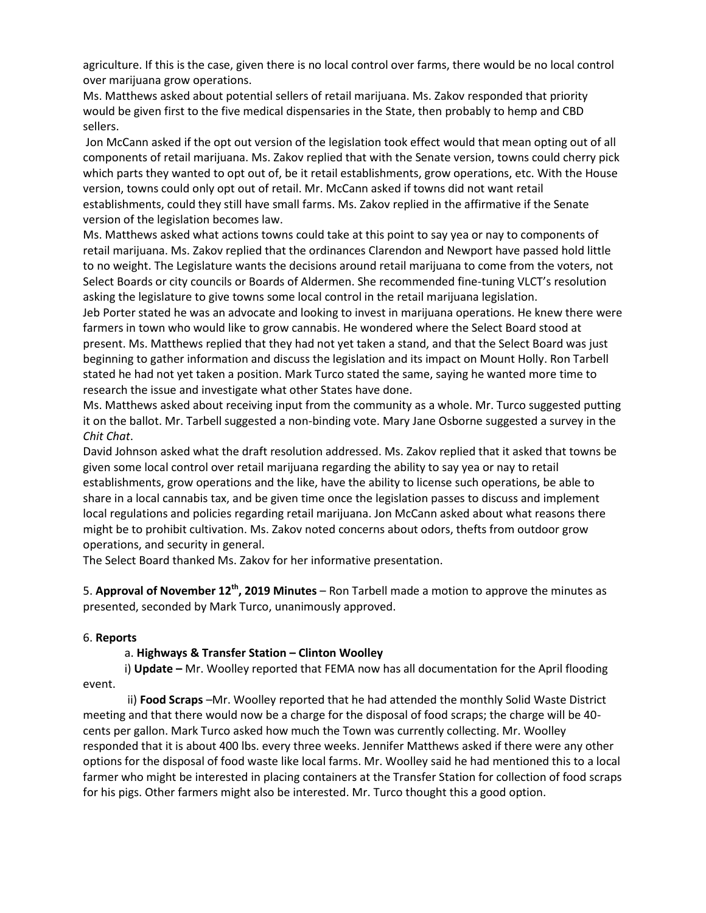agriculture. If this is the case, given there is no local control over farms, there would be no local control over marijuana grow operations.

Ms. Matthews asked about potential sellers of retail marijuana. Ms. Zakov responded that priority would be given first to the five medical dispensaries in the State, then probably to hemp and CBD sellers.

Jon McCann asked if the opt out version of the legislation took effect would that mean opting out of all components of retail marijuana. Ms. Zakov replied that with the Senate version, towns could cherry pick which parts they wanted to opt out of, be it retail establishments, grow operations, etc. With the House version, towns could only opt out of retail. Mr. McCann asked if towns did not want retail establishments, could they still have small farms. Ms. Zakov replied in the affirmative if the Senate version of the legislation becomes law.

Ms. Matthews asked what actions towns could take at this point to say yea or nay to components of retail marijuana. Ms. Zakov replied that the ordinances Clarendon and Newport have passed hold little to no weight. The Legislature wants the decisions around retail marijuana to come from the voters, not Select Boards or city councils or Boards of Aldermen. She recommended fine-tuning VLCT's resolution asking the legislature to give towns some local control in the retail marijuana legislation.

Jeb Porter stated he was an advocate and looking to invest in marijuana operations. He knew there were farmers in town who would like to grow cannabis. He wondered where the Select Board stood at present. Ms. Matthews replied that they had not yet taken a stand, and that the Select Board was just beginning to gather information and discuss the legislation and its impact on Mount Holly. Ron Tarbell stated he had not yet taken a position. Mark Turco stated the same, saying he wanted more time to research the issue and investigate what other States have done.

Ms. Matthews asked about receiving input from the community as a whole. Mr. Turco suggested putting it on the ballot. Mr. Tarbell suggested a non-binding vote. Mary Jane Osborne suggested a survey in the *Chit Chat*.

David Johnson asked what the draft resolution addressed. Ms. Zakov replied that it asked that towns be given some local control over retail marijuana regarding the ability to say yea or nay to retail establishments, grow operations and the like, have the ability to license such operations, be able to share in a local cannabis tax, and be given time once the legislation passes to discuss and implement local regulations and policies regarding retail marijuana. Jon McCann asked about what reasons there might be to prohibit cultivation. Ms. Zakov noted concerns about odors, thefts from outdoor grow operations, and security in general.

The Select Board thanked Ms. Zakov for her informative presentation.

5. **Approval of November 12th, 2019 Minutes** – Ron Tarbell made a motion to approve the minutes as presented, seconded by Mark Turco, unanimously approved.

## 6. **Reports**

## a. **Highways & Transfer Station – Clinton Woolley**

i) **Update –** Mr. Woolley reported that FEMA now has all documentation for the April flooding event.

ii) **Food Scraps** –Mr. Woolley reported that he had attended the monthly Solid Waste District meeting and that there would now be a charge for the disposal of food scraps; the charge will be 40 cents per gallon. Mark Turco asked how much the Town was currently collecting. Mr. Woolley responded that it is about 400 lbs. every three weeks. Jennifer Matthews asked if there were any other options for the disposal of food waste like local farms. Mr. Woolley said he had mentioned this to a local farmer who might be interested in placing containers at the Transfer Station for collection of food scraps for his pigs. Other farmers might also be interested. Mr. Turco thought this a good option.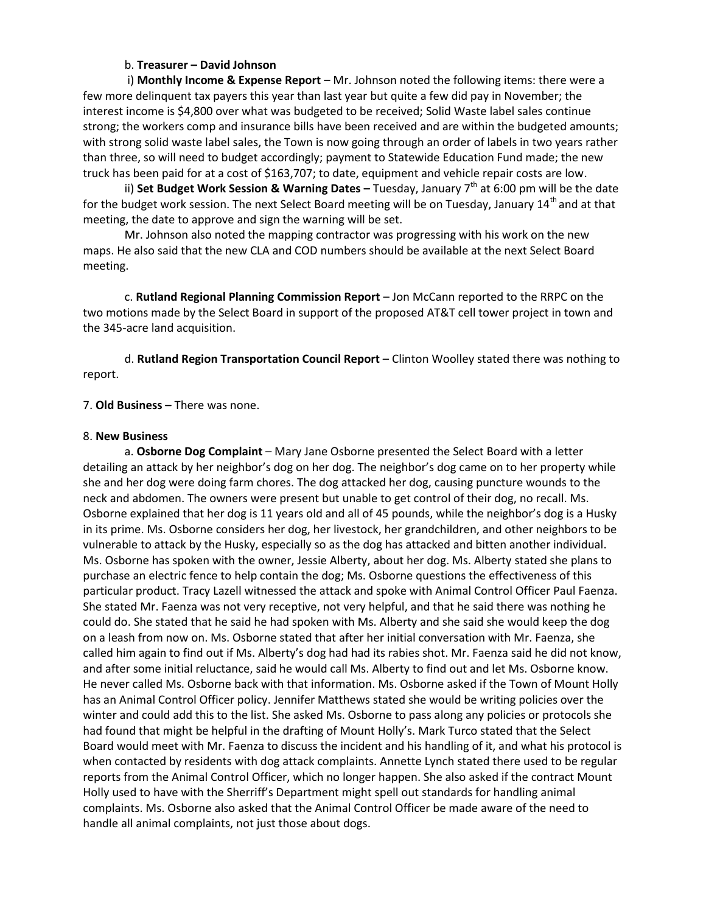### b. **Treasurer – David Johnson**

i) **Monthly Income & Expense Report** – Mr. Johnson noted the following items: there were a few more delinquent tax payers this year than last year but quite a few did pay in November; the interest income is \$4,800 over what was budgeted to be received; Solid Waste label sales continue strong; the workers comp and insurance bills have been received and are within the budgeted amounts; with strong solid waste label sales, the Town is now going through an order of labels in two years rather than three, so will need to budget accordingly; payment to Statewide Education Fund made; the new truck has been paid for at a cost of \$163,707; to date, equipment and vehicle repair costs are low.

ii) **Set Budget Work Session & Warning Dates -** Tuesday, January 7<sup>th</sup> at 6:00 pm will be the date for the budget work session. The next Select Board meeting will be on Tuesday, January 14<sup>th</sup> and at that meeting, the date to approve and sign the warning will be set.

Mr. Johnson also noted the mapping contractor was progressing with his work on the new maps. He also said that the new CLA and COD numbers should be available at the next Select Board meeting.

c. **Rutland Regional Planning Commission Report** – Jon McCann reported to the RRPC on the two motions made by the Select Board in support of the proposed AT&T cell tower project in town and the 345-acre land acquisition.

d. **Rutland Region Transportation Council Report** – Clinton Woolley stated there was nothing to report.

### 7. **Old Business –** There was none.

#### 8. **New Business**

a. **Osborne Dog Complaint** – Mary Jane Osborne presented the Select Board with a letter detailing an attack by her neighbor's dog on her dog. The neighbor's dog came on to her property while she and her dog were doing farm chores. The dog attacked her dog, causing puncture wounds to the neck and abdomen. The owners were present but unable to get control of their dog, no recall. Ms. Osborne explained that her dog is 11 years old and all of 45 pounds, while the neighbor's dog is a Husky in its prime. Ms. Osborne considers her dog, her livestock, her grandchildren, and other neighbors to be vulnerable to attack by the Husky, especially so as the dog has attacked and bitten another individual. Ms. Osborne has spoken with the owner, Jessie Alberty, about her dog. Ms. Alberty stated she plans to purchase an electric fence to help contain the dog; Ms. Osborne questions the effectiveness of this particular product. Tracy Lazell witnessed the attack and spoke with Animal Control Officer Paul Faenza. She stated Mr. Faenza was not very receptive, not very helpful, and that he said there was nothing he could do. She stated that he said he had spoken with Ms. Alberty and she said she would keep the dog on a leash from now on. Ms. Osborne stated that after her initial conversation with Mr. Faenza, she called him again to find out if Ms. Alberty's dog had had its rabies shot. Mr. Faenza said he did not know, and after some initial reluctance, said he would call Ms. Alberty to find out and let Ms. Osborne know. He never called Ms. Osborne back with that information. Ms. Osborne asked if the Town of Mount Holly has an Animal Control Officer policy. Jennifer Matthews stated she would be writing policies over the winter and could add this to the list. She asked Ms. Osborne to pass along any policies or protocols she had found that might be helpful in the drafting of Mount Holly's. Mark Turco stated that the Select Board would meet with Mr. Faenza to discuss the incident and his handling of it, and what his protocol is when contacted by residents with dog attack complaints. Annette Lynch stated there used to be regular reports from the Animal Control Officer, which no longer happen. She also asked if the contract Mount Holly used to have with the Sherriff's Department might spell out standards for handling animal complaints. Ms. Osborne also asked that the Animal Control Officer be made aware of the need to handle all animal complaints, not just those about dogs.